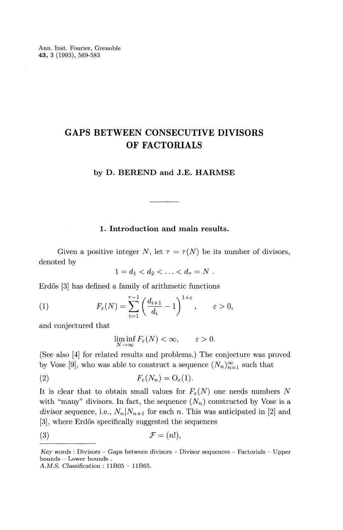Ann. Inst. Fourier, Grenoble **43,** 3 (1993), 569-583

# **GAPS BETWEEN CONSECUTIVE DIVISORS OF FACTORIALS**

#### **by D. BEREND and J.E. HARMSE**

## **1. Introduction and main results.**

Given a positive integer N, let  $\tau = \tau(N)$  be its number of divisors, denoted by

$$
1 = d_1 < d_2 < \ldots < d_\tau = N \; .
$$

Erdős [3] has defined a family of arithmetic functions

(1) 
$$
F_{\varepsilon}(N) = \sum_{i=1}^{\tau-1} \left( \frac{d_{i+1}}{d_i} - 1 \right)^{1+\varepsilon}, \qquad \varepsilon > 0,
$$

and conjectured that

$$
\liminf_{N \to \infty} F_{\varepsilon}(N) < \infty, \qquad \varepsilon > 0.
$$

(See also [4] for related results and problems.) The conjecture was proved by Vose [9], who was able to construct a sequence  $(N_n)_{n=1}^{\infty}$  such that

(2) 
$$
F_{\varepsilon}(N_n) = O_{\varepsilon}(1).
$$

It is clear that to obtain small values for  $F_{\varepsilon}(N)$  one needs numbers N with "many" divisors. In fact, the sequence  $(N_n)$  constructed by Vose is a *divisor sequence,* i.e.,  $N_n|N_{n+1}$  for each *n*. This was anticipated in [2] and [3], where Erdős specifically suggested the sequences

$$
(3) \t\t \mathcal{F} = (n!),
$$

*Key words* : Divisors – Gaps between divisors – Divisor sequences – Factorials – Upper  $Key words: Divisors - C  
bounds - Lower bounds$ *A. M.S. Classification :* 11805 - 11B65.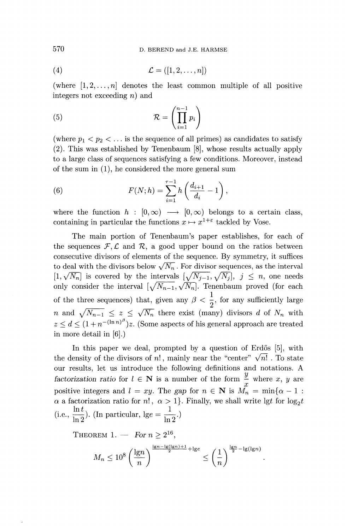$$
(4) \qquad \qquad \mathcal{L} = ([1, 2, \dots, n])
$$

(where  $[1,2,\ldots,n]$  denotes the least common multiple of all positive integers not exceeding *n)* and

(5) 
$$
\mathcal{R} = \left(\prod_{i=1}^{n-1} p_i\right)
$$

(where  $p_1 < p_2 < \ldots$  is the sequence of all primes) as candidates to satisfy (2). This was established by Tenenbaum [8], whose results actually apply to a large class of sequences satisfying a few conditions. Moreover, instead of the sum in (1), he considered the more general sum

(6) 
$$
F(N; h) = \sum_{i=1}^{\tau-1} h\left(\frac{d_{i+1}}{d_i} - 1\right),
$$

where the function  $h : [0, \infty) \longrightarrow [0, \infty)$  belongs to a certain class, containing in particular the functions  $x \mapsto x^{1+\epsilon}$  tackled by Vose.

The main portion of Tenenbaum's paper establishes, for each of the sequences  $\mathcal{F}, \mathcal{L}$  and  $\mathcal{R}$ , a good upper bound on the ratios between consecutive divisors of elements of the sequence. By symmetry, it suffices to deal with the divisors below  $\sqrt{N_n}$ . For divisor sequences, as the interval  $[1,\sqrt{N_n}]$  is covered by the intervals  $[\sqrt{N_{j-1}},\sqrt{N_j}], j \leq n$ , one needs only consider the interval  $[\sqrt{N_{n-1}}, \sqrt{N_n}]$ . Tenenbaum proved (for each of the three sequences) that, given any  $\beta < \frac{1}{2}$ , for any sufficiently large *n* and  $\sqrt{N_{n-1}} \leq z \leq \sqrt{N_n}$  there exist (many) divisors *d* of  $N_n$  with  $z \leq d \leq (1 + n^{-(\ln n)^{\beta}})z$ . (Some aspects of his general approach are treated in more detail in [6].)

In this paper we deal, prompted by a question of Erdős [5], with the density of the divisors of  $n!$ , mainly near the "center"  $\sqrt{n!}$ . To state our results, let us introduce the following definitions and notations. A *factorization ratio* for  $l \in \mathbb{N}$  is a number of the form  $\frac{y}{x}$  where x, y are positive integers and  $l = xy$ . The gap for  $n \in \mathbb{N}$  is  $M_n = \min\{\alpha - 1 :$  $\alpha$  a factorization ratio for  $n!$ ,  $\alpha > 1$ . Finally, we shall write  $\lg t$  for  $\log_2 t$ (i.e.,  $\frac{\ln t}{\ln 2}$ ). (In particular, Ige =  $\frac{1}{\ln 2}$ .)

THEOREM 1.  $-$  For  $n \geq 2^{16}$ ,

REM 1. — For 
$$
n \ge 2^{16}
$$
,  

$$
M_n \le 10^8 \left(\frac{\lg n}{n}\right)^{\frac{\lg n - \lg(\lg n) + 1}{2} + \lg e} \le \left(\frac{1}{n}\right)^{\frac{\lg n}{2} - \lg(\lg n)}
$$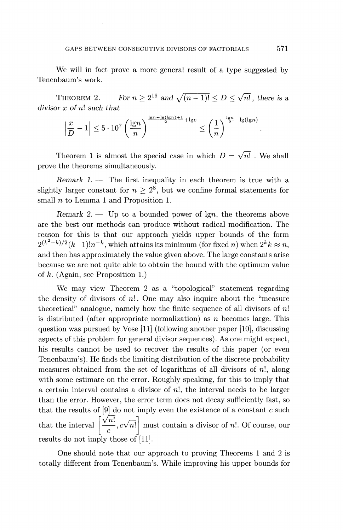We will in fact prove a more general result of a type suggested by Tenenbaum's work.

THEOREM 2. — For  $n \ge 2^{16}$  and  $\sqrt{(n-1)!} < D < \sqrt{n!}$ , there is a *divisor x of n\ such that*

$$
\left|\frac{x}{D} - 1\right| \le 5 \cdot 10^7 \left(\frac{\lg n}{n}\right)^{\frac{\lg n - \lg(\lg n) + 1}{2} + \lg e} \le \left(\frac{1}{n}\right)^{\frac{\lg n}{2} - \lg(\lg n)}
$$

Theorem 1 is almost the special case in which  $D = \sqrt{n!}$ . We shall prove the theorems simultaneously.

*Remark* 1. — The first inequality in each theorem is true with a slightly larger constant for  $n \geq 2^8$ , but we confine formal statements for small *n* to Lemma 1 and Proposition 1.

*Remark 2.* — Up to a bounded power of lgn, the theorems above are the best our methods can produce without radical modification. The reason for this is that our approach yields upper bounds of the form  $2^{(k^2-k)/2}(k-1)!n^{-k}$ , which attains its minimum (for fixed *n*) when  $2^k k \approx n$ and then has approximately the value given above. The large constants arise because we are not quite able to obtain the bound with the optimum value of *k.* (Again, see Proposition 1.)

We may view Theorem 2 as a "topological" statement regarding the density of divisors of *n\.* One may also inquire about the "measure theoretical" analogue, namely how the finite sequence of all divisors of *n\* is distributed (after appropriate normalization) as *n* becomes large. This question was pursued by Vose [11] (following another paper [10], discussing aspects of this problem for general divisor sequences). As one might expect, his results cannot be used to recover the results of this paper (or even Tenenbaum's). He finds the limiting distribution of the discrete probability measures obtained from the set of logarithms of all divisors of  $n!$ , along with some estimate on the error. Roughly speaking, for this to imply that a certain interval contains a divisor of  $n!$ , the interval needs to be larger than the error. However, the error term does not decay sufficiently fast, so that the results of [9] do not imply even the existence of a constant *c* such that the interval  $\left|\frac{\sqrt{n!}}{\sqrt{n!}}\right|$  must contain a divisor of n!. Of course, our  $\left[\frac{\sqrt{n!}}{c}, c\sqrt{n!}\right]$ results do not imply those of [11].

One should note that our approach to proving Theorems 1 and 2 is totally different from Tenenbaum's. While improving his upper bounds for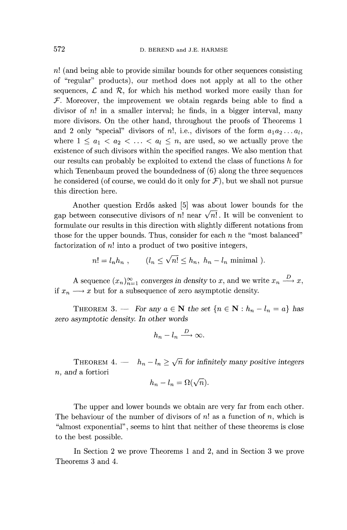*n\* (and being able to provide similar bounds for other sequences consisting of "regular" products), our method does not apply at all to the other sequences,  $\mathcal L$  and  $\mathcal R$ , for which his method worked more easily than for *F.* Moreover, the improvement we obtain regards being able to find a divisor of *n\* in a smaller interval; he finds, in a bigger interval, many more divisors. On the other hand, throughout the proofs of Theorems 1 and 2 only "special" divisors of n!, i.e., divisors of the form  $a_1 a_2 \ldots a_l$ , where  $1 \leq a_1 < a_2 < \ldots < a_l \leq n$ , are used, so we actually prove the existence of such divisors within the specified ranges. We also mention that our results can probably be exploited to extend the class of functions *h* for which Tenenbaum proved the boundedness of  $(6)$  along the three sequences he considered (of course, we could do it only for  $\mathcal{F}$ ), but we shall not pursue this direction here.

Another question Erdős asked [5] was about lower bounds for the gap between consecutive divisors of n! near  $\sqrt{n!}$ . It will be convenient to formulate our results in this direction with slightly different notations from those for the upper bounds. Thus, consider for each *n* the "most balanced" factorization of *n*! into a product of two positive integers,

$$
n! = l_n h_n , \qquad (l_n \le \sqrt{n!} \le h_n, h_n - l_n \text{ minimal } ).
$$

A sequence  $(x_n)_{n=1}^{\infty}$  converges in density to x, and we write  $x_n \stackrel{D}{\longrightarrow} x$ , if  $x_n \longrightarrow x$  but for a subsequence of zero asymptotic density.

THEOREM 3. — For any  $a \in \mathbb{N}$  the set  $\{n \in \mathbb{N} : h_n - l_n = a\}$  has *zero asymptotic density. In other words*

$$
h_n - l_n \xrightarrow{D} \infty.
$$

THEOREM 4. —  $h_n - l_n \ge \sqrt{n}$  for infinitely many positive integers *n,* and a fortiori

$$
h_n - l_n = \Omega(\sqrt{n}).
$$

The upper and lower bounds we obtain are very far from each other. The behaviour of the number of divisors of  $n!$  as a function of  $n$ , which is "almost exponential", seems to hint that neither of these theorems is close to the best possible.

In Section 2 we prove Theorems 1 and 2, and in Section 3 we prove Theorems 3 and 4.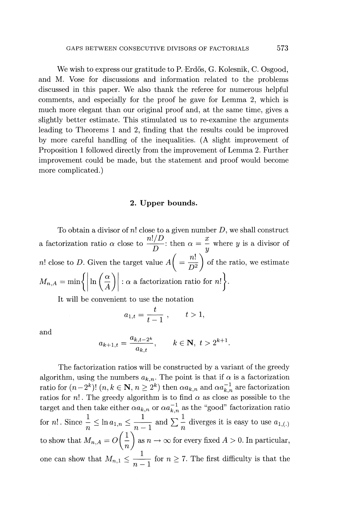We wish to express our gratitude to P. Erdős, G. Kolesnik, C. Osgood, and M. Vose for discussions and information related to the problems discussed in this paper. We also thank the referee for numerous helpful comments, and especially for the proof he gave for Lemma 2, which is much more elegant than our original proof and, at the same time, gives a slightly better estimate. This stimulated us to re-examine the arguments leading to Theorems 1 and 2, finding that the results could be improved by more careful handling of the inequalities. (A slight improvement of Proposition 1 followed directly from the improvement of Lemma 2. Further improvement could be made, but the statement and proof would become more complicated.)

#### **2. Upper bounds.**

To obtain a divisor of *n\* close to a given number D, we shall construct a factorization ratio  $\alpha$  close to  $\frac{n!}{D}$ ; then  $\alpha = \frac{x}{y}$  where *y* is a divisor of *n*! close to *D*. Given the target value  $A\left( = \frac{n!}{n^2} \right)$  of the ratio, we estimate  $M_{n,A} = \min \Big\{ \Big| \ln \Big( \frac{\alpha}{A} \Big) \Big| : \alpha \text{ a factorization ratio for } n! \Big\}.$ 

It will be convenient to use the notation

$$
a_{1,t}=\frac{t}{t-1},\qquad t>1,
$$

and

$$
a_{k+1,t} = \frac{a_{k,t-2^k}}{a_{k,t}}, \qquad k \in \mathbf{N}, \ t > 2^{k+1}
$$

The factorization ratios will be constructed by a variant of the greedy algorithm, using the numbers  $a_{k,n}$ . The point is that if  $\alpha$  is a factorization ratio for  $(n-2^k)!$   $(n,k \in \mathbb{N}, n \geq 2^k)$  then  $\alpha a_{k,n}$  and  $\alpha a_{k,n}^{-1}$  are factorization ratios for *n*!. The greedy algorithm is to find  $\alpha$  as close as possible to the target and then take either  $\alpha a_{k,n}$  or  $\alpha a_{k,n}^{-1}$  as the "good" factorization ration for *n*!. Since  $\frac{1}{n} \leq \ln a_{1,n} \leq \frac{1}{n-1}$  and  $\sum_{n=1}^{\infty} \frac{1}{n}$  diverges it is easy to use  $a_{1,(1)}$ to show that  $M_{n,A} = O\left(\frac{1}{n}\right)$  as  $n \to \infty$  for every fixed  $A > 0$ . In particular  $\left(\frac{1}{n}\right)$ one can show that  $M_{n,1} \leq \frac{1}{n-1}$  for  $n \geq 7$ . The first difficulty is that the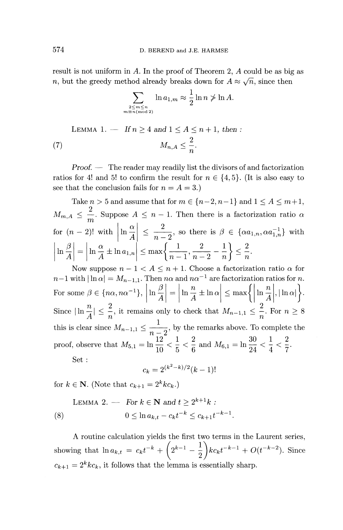result is not uniform in A. In the proof of Theorem 2, A could be as big as *n*, but the greedy method already breaks down for  $A \approx \sqrt{n}$ , since then<br> $\sum_{n=1}^{\infty} \ln a_{1,m} \approx \frac{1}{2} \ln n \ngtr 1$ .

$$
\sum_{\substack{2 \le m \le n \\ m \equiv n (\text{mod } 2)}} \ln a_{1,m} \approx \frac{1}{2} \ln n \ngtr \ln A.
$$

LEMMA 1. — If 
$$
n \ge 4
$$
 and  $1 \le A \le n + 1$ , then :  
(7) 
$$
M_{n,A} \le \frac{2}{n}.
$$

Proof. — The reader may readily list the divisors of and factorization ratios for 4! and 5! to confirm the result for  $n \in \{4, 5\}$ . (It is also easy to see that the conclusion fails for  $n = A = 3$ .)

Take  $n > 5$  and assume that for  $m \in \{n-2, n-1\}$  and  $1 \leq A \leq m+1$ , Take  $n > 3$  and assume that for  $m \in \{n-2, n-1\}$  and  $1 \le A \le m+1$ <br>  $M_{m,A} \le \frac{2}{m}$ . Suppose  $A \le n-1$ . Then there is a factorization ratio *c* for  $(n-2)!$  with  $\left|\ln \frac{\alpha}{4}\right| \leq \frac{2}{n-2}$ , so there is  $\beta \in {\alpha a_{1,n}, \alpha a_{1,n}^{-1}}$  with  $\text{for}~~(n-2)! \text{ with } \left|\ln \frac{\alpha}{A}\right| \leq \frac{2}{n-2}, \text{ so there is } \beta \left|\ln \frac{\beta}{A}\right| = \left|\ln \frac{\alpha}{A} \pm \ln a_{1,n}\right| \leq \max\left\{\frac{1}{n-1}, \frac{2}{n-2} - \frac{1}{n}\right\}.$  $\alpha$   $\begin{array}{c|ccccc}\n a & & & & \\
\end{array}$   $\begin{array}{c|ccccc}\n a & & & & \\
\end{array}$   $\begin{array}{c|ccccc}\n a & & & & \\
\end{array}$  $\left|\ln \frac{\alpha}{A}\pm\ln a_{1,n}\right|\leq \max\left\{\frac{1}{n-1},\frac{2}{n-2} -\frac{1}{n}\right\}\leq \frac{2}{n}$ 

Now suppose  $n-1 < A \leq n+1$ . Choose a factorization ratio  $\alpha$  for Now suppose  $n-1 \le A \le n+1$ . Choose a factorization ratio  $\alpha$  is n. For some  $\beta \in \{n\alpha, n\alpha^{-1}\}, \left|\ln \frac{\beta}{A}\right| = \left|\ln \frac{n}{A} \pm \ln \alpha\right| \le \max\left\{\left|\ln \frac{n}{A}\right|, |\ln \alpha|\right\}$ Since  $|\ln \frac{n}{A}| \leq \frac{2}{n}$ , it remains only to check that  $M_{n-1,1} \leq \frac{2}{n}$ . For  $n \geq 8$ this is clear since  $M_{n-1,1} \leq \frac{1}{n-2}$ , by the remarks above. To complete the Since  $|\ln \frac{n}{A}| \leq \frac{2}{n}$ , it remains only to check that  $M_{n-1,1} \leq \frac{2}{n}$  this is clear since  $M_{n-1,1} \leq \frac{1}{n-2}$ , by the remarks above. To proof, observe that  $M_{5,1} = \ln \frac{12}{10} < \frac{1}{5} < \frac{2}{6}$  and  $M_{6,1} = \ln \frac$  $\ln \frac{12}{10} < \frac{1}{5} < \frac{2}{6}$  and  $M_{6,1} = \ln \frac{30}{24} < \frac{1}{4} < \frac{2}{7}$ . Set :

$$
c_k = 2^{(k^2 - k)/2}(k - 1)
$$

for  $k \in \mathbf{N}$ . (Note that  $c_{k+1} = 2^k k c_k$ .)

LEMMA 2. — For 
$$
k \in \mathbb{N}
$$
 and  $t \ge 2^{k+1}k$ :  
\n(8)  $0 \le \ln a_{k,t} - c_k t^{-k} \le c_{k+1} t^{-k-1}$ .

A routine calculation yields the first two terms in the Laurent series, A routine calculation yields the first two terms in the Laurent series<br>showing that  $\ln a_{k,t} = c_k t^{-k} + \left(2^{k-1} - \frac{1}{2}\right) k c_k t^{-k-1} + O(t^{-k-2})$ . Since  $c_{k+1} = 2^k k c_k$ , it follows that the lemma is essentially sharp.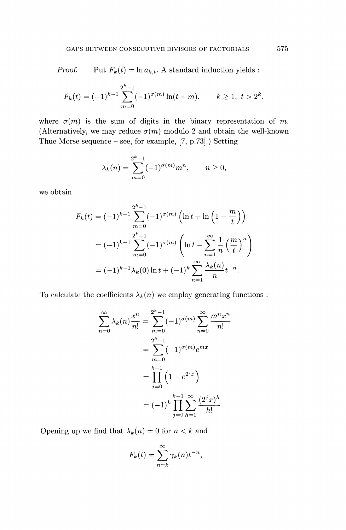*Proof.* — Put  $F_k(t) = \ln a_{k,t}$ . A standard induction yields :

$$
F_k(t) = (-1)^{k-1} \sum_{m=0}^{2^k - 1} (-1)^{\sigma(m)} \ln(t - m), \qquad k \ge 1, \ t > 2^k,
$$

where  $\sigma(m)$  is the sum of digits in the binary representation of m. (Alternatively, we may reduce  $\sigma(m)$  modulo 2 and obtain the well-known Thue-Morse sequence  $-$  see, for example, [7, p.73].) Setting

$$
\lambda_k(n) = \sum_{m=0}^{2^k - 1} (-1)^{\sigma(m)} m^n, \qquad n \ge 0,
$$

we obtain

$$
F_k(t) = (-1)^{k-1} \sum_{m=0}^{2^k - 1} (-1)^{\sigma(m)} \left( \ln t + \ln \left( 1 - \frac{m}{t} \right) \right)
$$
  
=  $(-1)^{k-1} \sum_{m=0}^{2^k - 1} (-1)^{\sigma(m)} \left( \ln t - \sum_{n=1}^{\infty} \frac{1}{n} \left( \frac{m}{t} \right)^n \right)$   
=  $(-1)^{k-1} \lambda_k(0) \ln t + (-1)^k \sum_{n=1}^{\infty} \frac{\lambda_k(n)}{n} t^{-n}.$ 

To calculate the coefficients  $\lambda_k(n)$  we employ generating functions :

$$
\sum_{n=0}^{\infty} \lambda_k(n) \frac{x^n}{n!} = \sum_{m=0}^{2^k - 1} (-1)^{\sigma(m)} \sum_{n=0}^{\infty} \frac{m^n x^n}{n!}
$$

$$
= \sum_{m=0}^{2^k - 1} (-1)^{\sigma(m)} e^{mx}
$$

$$
= \prod_{j=0}^{k-1} \left(1 - e^{2^j x}\right)
$$

$$
= (-1)^k \prod_{j=0}^{k-1} \sum_{h=1}^{\infty} \frac{(2^j x)^h}{h!}.
$$

Opening up we find that  $\lambda_k(n) = 0$  for  $n < k$  and

$$
F_k(t) = \sum_{n=k}^{\infty} \gamma_k(n) t^{-n},
$$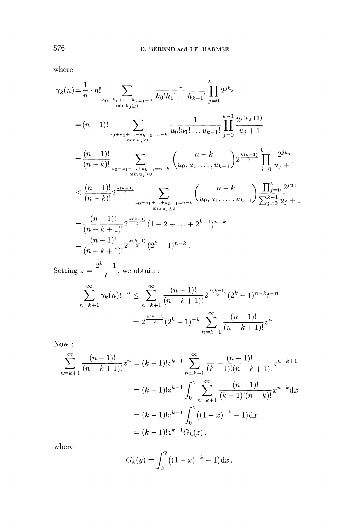where

$$
\gamma_k(n) = \frac{1}{n} \cdot n! \sum_{h_0 + h_1 + \dots + h_{k-1} = n \atop \min h_j \ge 1} \frac{1}{h_0! h_1! \dots h_{k-1}!} \prod_{j=0}^{k-1} 2^{jh_j}
$$
  
\n
$$
= (n-1)! \sum_{u_0 + u_1 + \dots + u_{k-1} = n-k \atop \min u_j \ge 0} \frac{1}{u_0! u_1! \dots u_{k-1}!} \prod_{j=0}^{k-1} \frac{2^{j(u_j+1)}}{u_j+1}
$$
  
\n
$$
= \frac{(n-1)!}{(n-k)!} \sum_{u_0 + u_1 + \dots + u_{k-1} = n-k \atop \min u_j \ge 0} {n-k \choose u_0, u_1, \dots, u_{k-1}} 2^{\frac{k(k-1)}{2}} \prod_{j=0}^{k-1} \frac{2^{ju_j}}{u_j+1}
$$
  
\n
$$
\le \frac{(n-1)!}{(n-k)!} 2^{\frac{k(k-1)}{2}} \sum_{u_0 + u_1 + \dots + u_{k-1} = n-k \atop \min u_j \ge 0} {n-k \choose u_0, u_1, \dots, u_{k-1}} \frac{\prod_{j=0}^{k-1} 2^{ju_j}}{\sum_{j=0}^{k-1} u_j+1}
$$
  
\n
$$
= \frac{(n-1)!}{(n-k+1)!} 2^{\frac{k(k-1)}{2}} (1+2+\dots+2^{k-1})^{n-k}
$$
  
\n
$$
= \frac{(n-1)!}{(n-k+1)!} 2^{\frac{k(k-1)}{2}} (2^k-1)^{n-k}.
$$
  
\nSetting  $z = \frac{2^k - 1}{t}$ , we obtain :

$$
t
$$
  

$$
\sum_{n=k+1}^{\infty} \gamma_k(n) t^{-n} \le \sum_{n=k+1}^{\infty} \frac{(n-1)!}{(n-k+1)!} 2^{\frac{k(k-1)}{2}} (2^k - 1)^{n-k} t^{-n}
$$
  

$$
= 2^{\frac{k(k-1)}{2}} (2^k - 1)^{-k} \sum_{n=k+1}^{\infty} \frac{(n-1)!}{(n-k+1)!} z^n.
$$

Now :

$$
\sum_{n=k+1}^{\infty} \frac{(n-1)!}{(n-k+1)!} z^n = (k-1)! z^{k-1} \sum_{n=k+1}^{\infty} \frac{(n-1)!}{(k-1)!(n-k+1)!} z^{n-k+1}
$$

$$
= (k-1)! z^{k-1} \int_0^z \sum_{n=k+1}^{\infty} \frac{(n-1)!}{(k-1)!(n-k)!} x^{n-k} dx
$$

$$
= (k-1)! z^{k-1} \int_0^z ((1-x)^{-k} - 1) dx
$$

$$
= (k-1)! z^{k-1} G_k(z),
$$

where

$$
G_k(y) = \int_0^y ((1-x)^{-k} - 1) \mathrm{d}x.
$$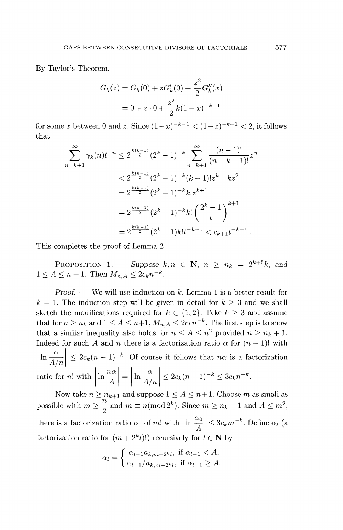By Taylor's Theorem,

$$
G_k(z) = G_k(0) + zG'_k(0) + \frac{z^2}{2}G''_k(x)
$$

$$
= 0 + z \cdot 0 + \frac{z^2}{2}k(1-x)^{-k-1}
$$

for some x between 0 and z. Since  $(1-x)^{-k-1} < (1-z)^{-k-1} < 2$ , it follows that

$$
\sum_{n=k+1}^{\infty} \gamma_k(n)t^{-n} \le 2^{\frac{k(k-1)}{2}} (2^k - 1)^{-k} \sum_{n=k+1}^{\infty} \frac{(n-1)!}{(n-k+1)!} z^n
$$
  

$$
< 2^{\frac{k(k-1)}{2}} (2^k - 1)^{-k} (k-1)! z^{k-1} k z^2
$$
  

$$
= 2^{\frac{k(k-1)}{2}} (2^k - 1)^{-k} k! z^{k+1}
$$
  

$$
= 2^{\frac{k(k-1)}{2}} (2^k - 1)^{-k} k! \left(\frac{2^k - 1}{t}\right)^{k+1}
$$
  

$$
= 2^{\frac{k(k-1)}{2}} (2^k - 1) k! t^{-k-1} < c_{k+1} t^{-k-1}.
$$

This completes the proof of Lemma 2.

PROPOSITION 1. — Suppose  $k, n \in \mathbb{N}$ ,  $n \geq n_k = 2^{k+5}k$ , and  $1 \leq A \leq n+1$ . Then  $M_{n,A} \leq 2c_k n^{-k}$ .

*Proof. —* We will use induction on *k.* Lemma 1 is a better result for  $k = 1$ . The induction step will be given in detail for  $k \geq 3$  and we shall sketch the modifications required for  $k \in \{1,2\}$ . Take  $k \geq 3$  and assume that for  $n \ge n_k$  and  $1 \le A \le n+1$ ,  $M_{n,A} \le 2c_k n^{-k}$ . The first step is to show that a similar inequality also holds for  $n \leq A \leq n^2$  provided  $n \geq n_k + 1$ . Indeed for such *A* and *n* there is a factorization ratio  $\alpha$  for  $(n - 1)!$  with ratio for *n*! with  $\left|\ln \frac{n\alpha}{A}\right| = \left|\ln \frac{\alpha}{A/n}\right| \leq 2c_k(n-1)^{-k} \leq 3c_k n^{-k}$ nace<br>*i* (  $\left|\ln \frac{\alpha}{A/n}\right| \leq 2c_k(n-1)^{-k}$ . Of cours  $\ln \frac{a}{A/r}$ 

Now take  $n \ge n_{k+1}$  and suppose  $1 \le A \le n+1$ . Choose *m* as small as possible with  $m \ge \frac{n}{2}$  and  $m \equiv n \pmod{2^k}$ . Since  $m \ge n_k + 1$  and  $A \le m^2$ there is a factorization ratio  $\alpha_0$  of m! with  $\left| \ln \frac{\alpha_0}{A} \right| \leq 3c_k m^{-k}$ . Define  $\alpha_l$  (and factorization ratio for  $(m + 2<sup>k</sup>l)!$  recursively for  $l \in \mathbb{N}$  by

$$
\alpha_l = \begin{cases} \alpha_{l-1}a_{k,m+2^kl}, \text{ if } \alpha_{l-1} < A, \\ \alpha_{l-1}/a_{k,m+2^kl}, \text{ if } \alpha_{l-1} \geq A. \end{cases}
$$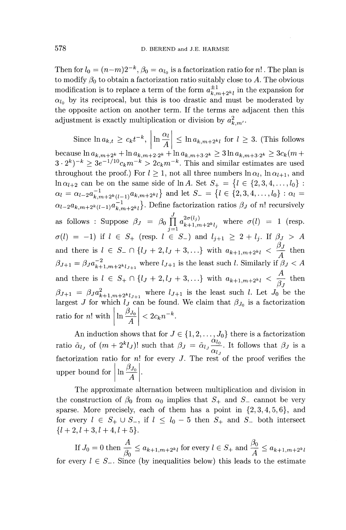Then for  $l_0 = (n-m)2^{-k}$ ,  $\beta_0 = \alpha_{l_0}$  is a factorization ratio for *n*! The plan is to modify  $\beta_0$  to obtain a factorization ratio suitably close to A. The obvious modification is to replace a term of the form  $a^{\pm 1}_{k,m+2^k l}$  in the expansion for  $\alpha_{l_0}$  by its reciprocal, but this is too drastic and must be moderated by the opposite action on another term. If the terms are adjacent then this adjustment is exactly multiplication or division by  $a_{k,m}^2$ .

Since  $\ln a_{k,t} \ge c_k t^{-k}$ ,  $\left| \ln \frac{\alpha_l}{A} \right| \le \ln a_{k,m+2^k l}$  for  $l \ge 3$ . (This follows because  $\ln a_{k,m+2^k} + \ln a_{k,m+2\cdot 2^k} + \ln a_{k,m+3\cdot 2^k} \geq 3 \ln a_{k,m+3\cdot 2^k} \geq 3c_k(m+1)$  $(3 \cdot 2^k)^{-k} \geq 3e^{-1/10}c_k m^{-k} > 2c_k m^{-k}$ . This and similar estimates are used throughout the proof.) For  $l \geq 1$ , not all three numbers  $\ln \alpha_l$ ,  $\ln \alpha_{l+1}$ , and  $\ln \alpha_{l+2}$  can be on the same side of  $\ln A$ . Set  $S_+ = \{l \in \{2, 3, 4, \ldots, l_0\} : \ldots \}$  $\alpha_l = \alpha_{l-2}a_{k,m+2^k(l-1)}^{-1} a_{k,m+2^kl}$  and let  $S_- = \{l \in \{2,3,4,\ldots,l_0\} : \alpha_l =$  $\alpha_{l-2}a_{k,m+2^{k}(l-1)}a_{k,m+2^{k}l}^{-1}$ . Define factorization ratios  $\beta_{J}$  of n! recursively as follows : Suppose  $\beta_J = \beta_0 \prod_{k=1}^{\infty} a_{k+1-k}^{2\sigma(l_j)}$  where  $\sigma(l) = 1$  (resp.  $\sigma(l) = -1$ ) if  $l \in S_+$  (resp.  $l \in S_-$ ) and  $l_{j+1} \geq 2 + l_j$ . If  $\beta_j > A$ and there is  $l \in S_- \cap \{l_J + 2, l_J + 3,...\}$  with  $a_{k+1,m+2^k l} < \frac{\beta_J}{A}$  then  $\beta_{J+1} = \beta_J a_{k+1,m+2^k l_{J+1}}^{-2}$  where  $l_{J+1}$  is the least such *l*. Similarly if  $\beta_J < A$ and there is  $l \in S_+ \cap \{l_J + 2, l_J + 3, ...\}$  with  $a_{k+1,m+2^k l} < \frac{A}{\varphi}$  then  $\beta_J$  $\beta_{J+1} = \beta_J a_{k+1,m+2k}^2$  where  $l_{J+1}$  is the least such l. Let  $J_0$  be the largest *J* for which  $l_j$  can be found. We claim that  $\beta_{J_0}$  is a factorization ratio for *n*! with  $\left| \ln \frac{\rho_{J_0}}{A} \right| < 2c_k n^{-k}$ .

An induction shows that for  $J \in \{1,2,\ldots,J_0\}$  there is a factorization ratio  $\tilde{\alpha}_{l_j}$  of  $(m + 2^k l_j)!$  such that  $\beta_j = \tilde{\alpha}_{l_j} \frac{\alpha_{l_0}}{\alpha_{l_j}}$ . It follows that  $\beta_j$  is a factorization ratio for n! for every J. The rest of the proof verifies the upper bound for  $\ln \frac{\beta_{J_0}}{4}$ .

The approximate alternation between multiplication and division in the construction of  $\beta_0$  from  $\alpha_0$  implies that  $S_+$  and  $S_-$  cannot be very sparse. More precisely, each of them has a point in  $\{2,3,4,5,6\}$ , and for every  $l \in S_+ \cup S_-,$  if  $l \leq l_0 - 5$  then  $S_+$  and  $S_-$  both intersect  $\{l+2,l+3,l+4,l+5\}.$ 

If  $J_0 = 0$  then  $\frac{A}{\beta_0} \le a_{k+1,m+2^{k}l}$  for every  $l \in S_+$  and  $\frac{\beta_0}{A} \le a_{k+1,m+2^{k}l}$ for every  $l \in S_{-}$ . Since (by inequalities below) this leads to the estimate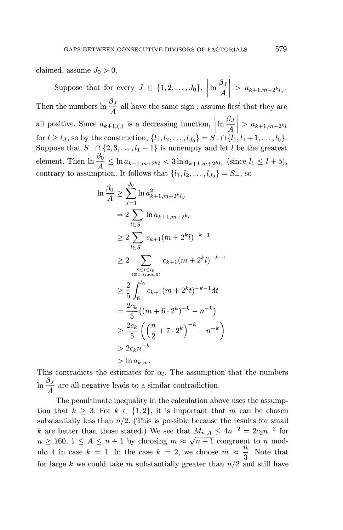claimed, assume  $J_0 > 0$ .

Suppose that for every  $J \in \{1, 2, ..., J_0\}, \left| \ln \frac{\beta_J}{A} \right| > a_{k+1,m+2^k l_J}$ Then the numbers  $\ln \frac{\beta J}{A}$  all have the same sign : assume first that they are all positive. Since  $a_{k+1,(.)}$  is a decreasing function,  $\left| \ln \frac{\beta_j}{A} \right| > a_{k+1,m+2^k l}$ for  $l \ge l_J$ , so by the construction,  $\{l_1, l_2, ..., l_{J_0}\} = S_{-} \cap \{l_1, l_1 + 1, ..., l_0\}$ Suppose that  $S_- \cap \{2, 3, ..., l_1 - 1\}$  is nonempty and let *l* be the greatest element. Then  $\ln \frac{\beta_0}{A} \leq \ln a_{k+1,m+2^k l} < 3 \ln a_{k+1,m+2^k l_1}$  (since  $l_1 \leq l + 5$ ), contrary to assumption. It follows that  $\{l_1, l_2, \ldots, l_{J_0}\} = S_-,$  so

$$
\ln \frac{\beta_0}{A} \geq \sum_{J=1}^{J_0} \ln a_{k+1,m+2^k l_J}^2
$$
\n
$$
= 2 \sum_{l \in S_-} \ln a_{k+1,m+2^k l}
$$
\n
$$
\geq 2 \sum_{l \in S_-} c_{k+1} (m + 2^k l)^{-k-1}
$$
\n
$$
\geq 2 \sum_{l \in I \text{ (mod 5)}} c_{k+1} (m + 2^k l)^{-k-1}
$$
\n
$$
\geq \frac{2}{5} \int_6^{l_0} c_{k+1} (m + 2^k t)^{-k-1} dt
$$
\n
$$
= \frac{2c_k}{5} ((m + 6 \cdot 2^k)^{-k} - n^{-k})
$$
\n
$$
\geq \frac{2c_k}{5} \left( \left( \frac{n}{2} + 7 \cdot 2^k \right)^{-k} - n^{-k} \right)
$$
\n
$$
> 2c_k n^{-k}
$$
\n
$$
> \ln a_{k,n}.
$$

This contradicts the estimates for  $\alpha_l$ . The assumption that the numbers  $\ln \frac{\beta J}{A}$  are all negative leads to a similar contradiction.

The penultimate inequality in the calculation above uses the assumption that  $k \geq 3$ . For  $k \in \{1,2\}$ , it is important that m can be chosen substantially less than  $n/2$ . (This is possible because the results for small *k* are better than those stated.) We see that  $M_{n,A} \leq 4n^{-2} = 2c_2n^{-2}$  for  $n \geq 160, 1 \leq A \leq n+1$  by choosing  $m \approx \sqrt{n+1}$  congruent to *n* modulo 4 in case  $k = 1$ . In the case  $k = 2$ , we choose  $m \approx \frac{n}{3}$ . Note that for large k we could take m substantially greater than  $n/2$  and still have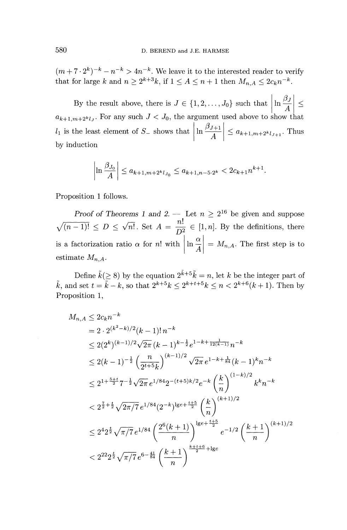$(m+7\cdot 2^k)^{-k} - n^{-k} > 4n^{-k}$ . We leave it to the interested reader to verify that for large k and  $n \ge 2^{k+3}k$ , if  $1 \le A \le n+1$  then  $M_{n,A} \le 2c_k n^{-k}$ .

By the result above, there is  $J \in \{1, 2, ..., J_0\}$  such that  $\left| \ln \frac{\beta J}{A} \right| \leq$  $a_{k+1,m+2^k l_J}$ . For any such  $J < J_0$ , the argument used above to show that  $d_{k+1,m+2^{k}l}$ . For any such  $J \leq J_0$ , the argument used above to show that  $\left| \ln \frac{\beta_{J+1}}{4} \right| \leq a_{k+1,m+2^{k}l_{J+1}}$ . Thus by induction

$$
\left|\ln \frac{\beta_{J_0}}{A}\right| \leq a_{k+1,m+2^k l_{J_0}} \leq a_{k+1,n-5\cdot 2^k} < 2c_{k+1}n^{k+1}.
$$

Proposition 1 follows.

*Proof of Theorems 1 and 2.* — Let  $n \geq 2^{16}$  be given and suppose  $\sqrt{(n-1)!} \le D \le \sqrt{n!}$ . Set  $A = \frac{n!}{D^2} \in [1,n]$ . By the definitions, there is a factorization ratio  $\alpha$  for n! with  $\left| \ln \frac{\alpha}{A} \right| = M_{n,A}$ . The first step is to estimate  $M_{n,A}$ .

Define  $\tilde{k}(\geq 8)$  by the equation  $2^{\tilde{k}+5}\tilde{k}=n$ , let k be the integer part of  $\tilde{k}$ , and set  $t = \tilde{k} - k$ , so that  $2^{k+5}k \leq 2^{k+t+5}k \leq n < 2^{k+6}(k+1)$ . Then by Proposition 1,

$$
M_{n,A} \leq 2c_k n^{-k}
$$
  
=  $2 \cdot 2^{(k^2 - k)/2} (k - 1)! n^{-k}$   
 $\leq 2(2^k)^{(k-1)/2} \sqrt{2\pi} (k - 1)^{k - \frac{1}{2}} e^{1 - k + \frac{1}{12(k-1)}} n^{-k}$   
 $\leq 2(k - 1)^{-\frac{1}{2}} \left(\frac{n}{2^{t + 5} k}\right)^{(k-1)/2} \sqrt{2\pi} e^{1 - k + \frac{1}{84}} (k - 1)^k n^{-k}$   
 $\leq 2^{1 + \frac{5 + t}{2}} 7^{-\frac{1}{2}} \sqrt{2\pi} e^{1/84} 2^{-(t + 5)k/2} e^{-k} \left(\frac{k}{n}\right)^{(1-k)/2} k^k n^{-k}$   
 $\leq 2^{\frac{7}{2} + \frac{t}{2}} \sqrt{2\pi/7} e^{1/84} (2^{-k})^{1} s^{-(\frac{t + 5}{2})} \left(\frac{k}{n}\right)^{(k+1)/2}$   
 $\leq 2^4 2^{\frac{t}{2}} \sqrt{\pi/7} e^{1/84} \left(\frac{2^6 (k + 1)}{n}\right)^{1} s^{(k + \frac{t + 5}{2})} e^{-1/2} \left(\frac{k + 1}{n}\right)^{(k+1)/2}$   
 $\leq 2^{22} 2^{\frac{t}{2}} \sqrt{\pi/7} e^{6 - \frac{41}{84}} \left(\frac{k + 1}{n}\right)^{\frac{k + t + 6}{2} + 1} s e$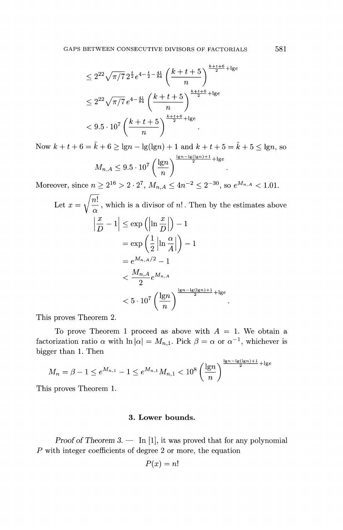GAPS BETWEEN CONSECUTIVE DIVISORS OF FACTORIALS 581  
\n
$$
\leq 2^{22} \sqrt{\pi/7} 2^{\frac{t}{2}} e^{4 - \frac{t}{2} - \frac{41}{84}} \left( \frac{k + t + 5}{n} \right)^{\frac{k + t + 6}{2} + \lg e}
$$
\n
$$
\leq 2^{22} \sqrt{\pi/7} e^{4 - \frac{41}{84}} \left( \frac{k + t + 5}{n} \right)^{\frac{k + t + 6}{2} + \lg e}
$$
\n
$$
< 9.5 \cdot 10^7 \left( \frac{k + t + 5}{n} \right)^{\frac{k + t + 6}{2} + \lg e}.
$$

Now  $k + t + 6 = \tilde{k} + 6 \ge \lg n - \lg(\lg n) + 1$  and  $k + t + 5 = \tilde{k} + 5 \le \lg n$ , so  $0^7\left(\frac{\lg n}{2}\right)^{\frac{\lg n-\lg(\lg n)+1}{2}+1}$  $M_{n,A} \leq 9.5 \cdot 10^7 \left(\frac{18^n}{n}\right)$ 

Moreover, since  $n \ge 2^{16} > 2 \cdot 2^7$ ,  $M_{n,A} \le 4n^{-2} \le 2^{-30}$ , so  $e^{M_{n,A}} < 1.01$ .

Let 
$$
x = \sqrt{\frac{n!}{\alpha}}
$$
, which is a divisor of *n*!. Then by the estimates above  
\n
$$
\left|\frac{x}{D} - 1\right| \le \exp\left(\left|\ln \frac{x}{D}\right|\right) - 1
$$
\n
$$
= \exp\left(\frac{1}{2}\left|\ln \frac{\alpha}{A}\right|\right) - 1
$$
\n
$$
= e^{M_{n,A}/2} - 1
$$
\n
$$
< \frac{M_{n,A}}{2} e^{M_{n,A}}
$$
\n
$$
< 5 \cdot 10^7 \left(\frac{\lg n}{n}\right)^{\frac{\lg n - \lg(\lg n) + 1}{2} + \lg e}.
$$

This proves Theorem 2.

To prove Theorem 1 proceed as above with  $A = 1$ . We obtain a factorization ratio  $\alpha$  with  $\ln |\alpha| = M_{n,1}$ . Pick  $\beta = \alpha$  or  $\alpha^{-1}$ , whichever is bigger than 1. Then

\n
$$
M_n = \beta - 1 \leq e^{M_{n,1}} - 1 \leq e^{M_{n,1}} M_{n,1} < 10^8 \left( \frac{\lg n}{n} \right)^{\frac{\lg n - \lg(\lg n) + 1}{2} + \lg e}
$$
\n

This proves Theorem 1.

# **3. Lower bounds.**

*Proof of Theorem 3.* — In [1], it was proved that for any polynomial *P* with integer coefficients of degree 2 or more, the equation

$$
P(x) = n!
$$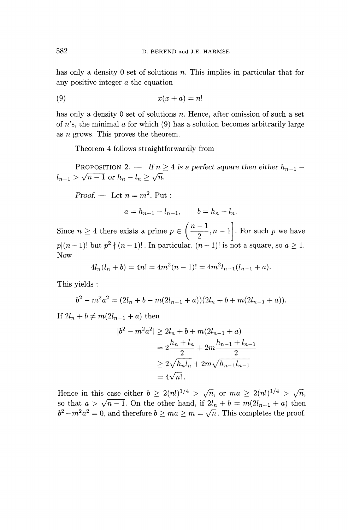has only a density 0 set of solutions *n.* This implies in particular that for any positive integer *a* the equation

$$
(9) \t x(x+a) = n!
$$

has only a density 0 set of solutions *n*. Hence, after omission of such a set of  $n$ 's, the minimal  $\alpha$  for which (9) has a solution becomes arbitrarily large as *n* grows. This proves the theorem.

Theorem 4 follows straightforwardly from

PROPOSITION 2. — If  $n \geq 4$  is a perfect square then either  $h_{n-1}$  –  $l_{n-1} > \sqrt{n-1}$  or  $h_n - l_n \ge \sqrt{n}$ .

*Proof.* — Let  $n = m^2$ . Put :

$$
a = h_{n-1} - l_{n-1},
$$
  $b = h_n - l_n.$ 

Since  $n \geq 4$  there exists a prime  $p \in \left( \frac{n-1}{2}, n-1 \right]$ . For such  $p$  we have *p* $(n-1)!$  but  $p^2$  $P \in \left( \frac{1}{2}, n - 1 \right]$ . For such *p* we have<br> $P \nmid (n - 1)!$ . In particular,  $(n - 1)!$  is not a square, so  $a \ge 1$ . Now

$$
4l_n(l_n+b) = 4n! = 4m^2(n-1)! = 4m^2l_{n-1}(l_{n-1}+a).
$$

This yields :

$$
b2 - m2a2 = (2ln + b - m(2ln-1 + a))(2ln + b + m(2ln-1 + a)).
$$

If  $2l_n + b \neq m(2l_{n-1} + a)$  then

$$
|b^{2} - m^{2}a^{2}| \ge 2l_{n} + b + m(2l_{n-1} + a)
$$
  
=  $2\frac{h_{n} + l_{n}}{2} + 2m\frac{h_{n-1} + l_{n-1}}{2}$   
 $\ge 2\sqrt{h_{n}l_{n}} + 2m\sqrt{h_{n-1}l_{n-1}}$   
=  $4\sqrt{n!}$ .

Hence in this case either  $b \geq 2(n!)^{1/4} > \sqrt{n}$ , or  $ma \geq 2(n!)^{1/4} > \sqrt{n}$ , so that  $a > \sqrt{n-1}$ . On the other hand, if  $2l_n + b = m(2l_{n-1} + a)$  then  $b^2 - m^2 a^2 = 0$ , and therefore  $b \geq ma \geq m = \sqrt{n}$ . This completes the proof.